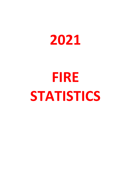

## **FIRE STATISTICS**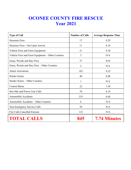## **OCONEE COUNTY FIRE RESCUE Year 2021**

| <b>Type of Call</b>                               | <b>Number of Calls</b> | <b>Average Response Time</b> |
|---------------------------------------------------|------------------------|------------------------------|
| <b>Structure Fires</b>                            | 17                     | 9.29                         |
| Structure Fires - Out Upon Arrival                | 11                     | 8.18                         |
| Vehicle Fires and Farm Equipment                  | 21                     | 8.38                         |
| Vehicle Fires and Farm Equipment – Other Counties | $\overline{2}$         | N/A                          |
| Grass, Woods and Hay Fires                        | 37                     | 8.65                         |
| Grass, Woods and Hay Fires - Other Counties       | $\overline{2}$         | N/A                          |
| <b>Alarm Activations</b>                          | 182                    | 8.22                         |
| <b>Smoke Scares</b>                               | 40                     | 8.98                         |
| Smoke Scares - Other Counties                     |                        | N/A                          |
| <b>Control Burns</b>                              | 22                     | 7.59                         |
| Haz-Mat and Power Line Calls                      | 79                     | 8.19                         |
| <b>Automobile Accidents</b>                       | 235                    | 6.68                         |
| Automobile Accidents – Other Counties             | 6                      | N/A                          |
| Non-Emergency Service Calls                       | 58                     | N/A                          |
| Fire Calls Cancelled Enroute                      | 132                    | N/A                          |
| <b>TOTAL CALLS</b>                                |                        | <b>7.74 Minutes</b>          |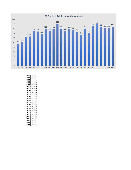

1997 (477 Calls) 1998 (518 Calls) 1999 (628 Calls) 2000 (630 Calls) 2001 (743 Calls) 2002 (739 Calls) 2003 (684 Calls) 2004 (795 Calls) 2005 (750 Calls) 2006 (787 Calls) 2007 (903 Calls) 2008 (801 Calls) 2009 (747 Calls) 2010 (785 Calls) 2011 (764 Calls) 2012 (730 Calls) 2013 (666 Calls) 2014 (798 Calls) 2015 (714 Calls) 2016 (855 Calls) 2017 (912 Calls) 2018 (838 Calls) 2019 (808 Calls) 2020 (808 Calls) 2021 (845 Calls)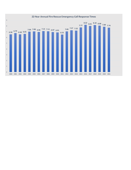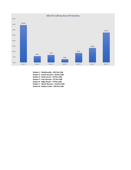

**Station 1 - Watkinsville = 291 Fire Calls Station 2 - South Oconee = 50 Fire Calls Station 4 - Dark Corner = 59 Fire Calls Station 5 - East Oconee = 25 Fire Calls Station 6 - High Shoals = 74 Fire Calls**

**Station 7 - North Oconee = 113 Fire Calls**

**Station 8 - Barber Creek = 233 Fire Calls**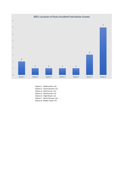

- Station 1 Watkinsville = (2) Station 2 - South Oconee = (1) Station 4 - Dark Corner = (1) Station 5 - East Oconee = (1) Station 6 - High Shoals = (1)
- Station 7 North Oconee = (3)
- Station 8 Barber Creek = (7)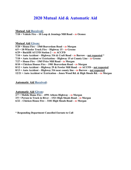## **2020 Mutual Aid & Automatic Aid**

**Mutual Aid Received:**

**7/18 = Vehicle Fire – 10 Loop & Jennings Mill Road –** *to* **Oconee**

**Mutual Aid Given:**

**5/28 = House Fire – 1560 Beaverdam Road –** *to* **Morgan 6/5 = 18-Wheeler Truck Fire – Highway 15 –** *to* **Greene 6/29 = Backfill ACCFD Station 2 –** *to* **ACCFD 7/10 = Auto Accident – Highway 316 & Craft Road –** *to* **Barrow – not requested \* 7/18 = Auto Accident w/ Extrication – Highway 15 at County Line –** *to* **Greene 7/27 = House Fire – 1565 Price Mill Road –** *to* **Morgan 8/10 = Chicken Houses Fire – 1981 Beaverdam Road –** *to* **Morgan 8/12 = Auto Accident – Highway 29 & Fowler Mill Road –** *to* **ACCFD – not requested 8/13 = Auto Accident – Highway 316 near county line –** *to* **Barrow – not requested 12/21 = Auto Accident w/ Extrication – Jones Wood Rd. & High Shoals Rd. –** *to* **Morgan**

**Automatic Aid Received:**

**Automatic Aid Given: 2/7 = Mobile Home Fire – 4591 Athens Highway –** *to* **Morgan 3/5 = Person in Truck in River – 1521 High Shoals Road –** *to* **Morgan 6/22 – Chicken House Fire – 3181 High Shoals Road –** *to* **Morgan** 

**\* Responding Department Cancelled Enroute to Call**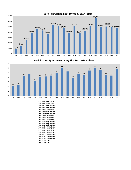

2000 2001 2002 2003 2004 2005 2006 2007 2008 2009 2010 2011 2012 2013 2014 2015 2016 2017 2018 2019

**Year 2000 - 29th in State Year 2001 - 21st in State Year 2002 - 18th in State Year 2003 - 12th in State Year 2004 - 8th in State Year 2005 - 11th in State Year 2006 - 14th in State Year 2007 - 8th in State Year 2008 - 5th in State Year 2009 - 9th in State Year 2010 - 11th in State Year 2011 - 10th in State Year 2012 - 10th in State Year 2013 - 6th In State Year 2014 - 5th In State Year 2015 - 8th In State Year 2016 - 7th In State Year 2017 - 7th In State Year 2018 - 6th In State Year 2019 - 7th In State Year 2020 - COVID Year 2021 - COVID**

**0**

**10**

**20**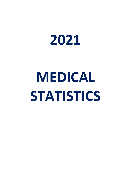

## **MEDICAL STATISTICS**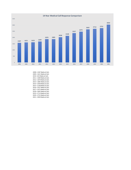

2008 = 1587 Medical Calls 2009 = 1621 Medical Calls 2010 = 633 Medical Calls 2011 = 1690 Medical Calls 2012 = 1870 Medical Calls 2013 = 1885 Medical Calls 2014 = 2038 Medical Calls 2015 = 2148 Medical Calls 2016 = 2357 Medical Calls 2017 = 2475 Medical Calls 2018 = 2665 Medical Calls 2019 = 2714 Medical Calls 2020 = 2752 Medical Calls 2021 = 3050 Medical Calls